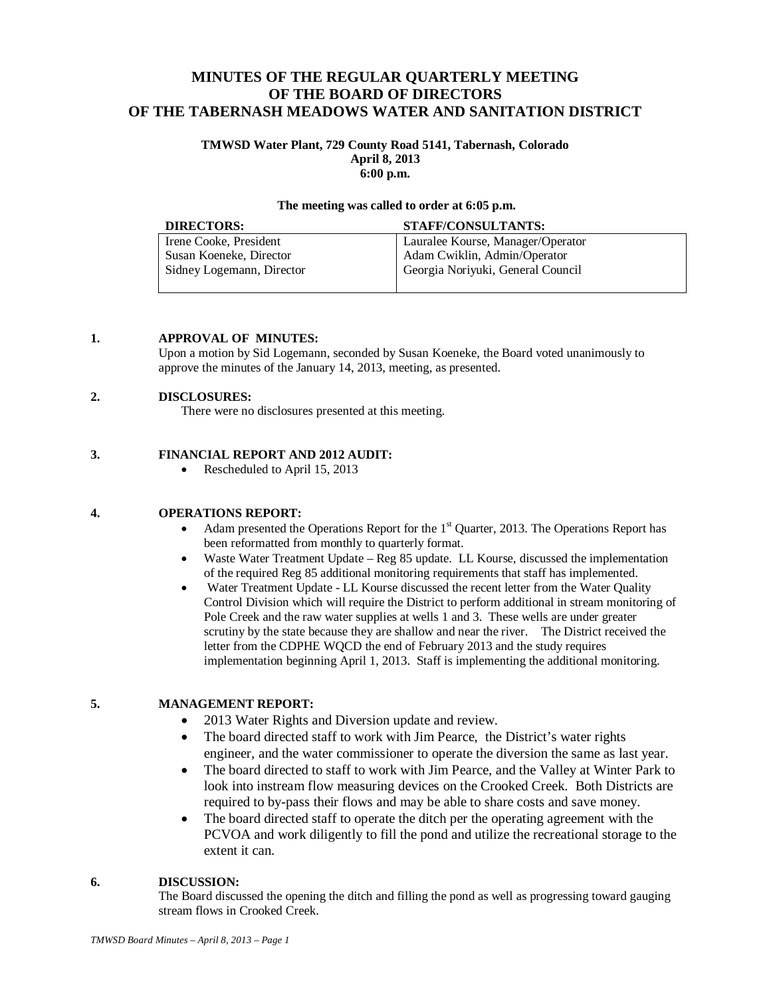# **MINUTES OF THE REGULAR QUARTERLY MEETING OF THE BOARD OF DIRECTORS OF THE TABERNASH MEADOWS WATER AND SANITATION DISTRICT**

#### **TMWSD Water Plant, 729 County Road 5141, Tabernash, Colorado April 8, 2013 6:00 p.m.**

#### **The meeting was called to order at 6:05 p.m.**

| <b>DIRECTORS:</b>         | STAFF/CONSULTANTS:                |
|---------------------------|-----------------------------------|
| Irene Cooke, President    | Lauralee Kourse, Manager/Operator |
| Susan Koeneke, Director   | Adam Cwiklin, Admin/Operator      |
| Sidney Logemann, Director | Georgia Noriyuki, General Council |
|                           |                                   |

## **1. APPROVAL OF MINUTES:**

Upon a motion by Sid Logemann, seconded by Susan Koeneke, the Board voted unanimously to approve the minutes of the January 14, 2013, meeting, as presented.

## **2. DISCLOSURES:**

There were no disclosures presented at this meeting.

## **3. FINANCIAL REPORT AND 2012 AUDIT:**

• Rescheduled to April 15, 2013

## **4. OPERATIONS REPORT:**

- Adam presented the Operations Report for the  $1<sup>st</sup>$  Quarter, 2013. The Operations Report has been reformatted from monthly to quarterly format.
- Waste Water Treatment Update Reg 85 update. LL Kourse, discussed the implementation of the required Reg 85 additional monitoring requirements that staff has implemented.
- Water Treatment Update LL Kourse discussed the recent letter from the Water Quality Control Division which will require the District to perform additional in stream monitoring of Pole Creek and the raw water supplies at wells 1 and 3. These wells are under greater scrutiny by the state because they are shallow and near the river. The District received the letter from the CDPHE WQCD the end of February 2013 and the study requires implementation beginning April 1, 2013. Staff is implementing the additional monitoring.

#### **5. MANAGEMENT REPORT:**

- 2013 Water Rights and Diversion update and review.
- The board directed staff to work with Jim Pearce, the District's water rights engineer, and the water commissioner to operate the diversion the same as last year.
- The board directed to staff to work with Jim Pearce, and the Valley at Winter Park to look into instream flow measuring devices on the Crooked Creek. Both Districts are required to by-pass their flows and may be able to share costs and save money.
- The board directed staff to operate the ditch per the operating agreement with the PCVOA and work diligently to fill the pond and utilize the recreational storage to the extent it can.

## **6. DISCUSSION:**

The Board discussed the opening the ditch and filling the pond as well as progressing toward gauging stream flows in Crooked Creek.